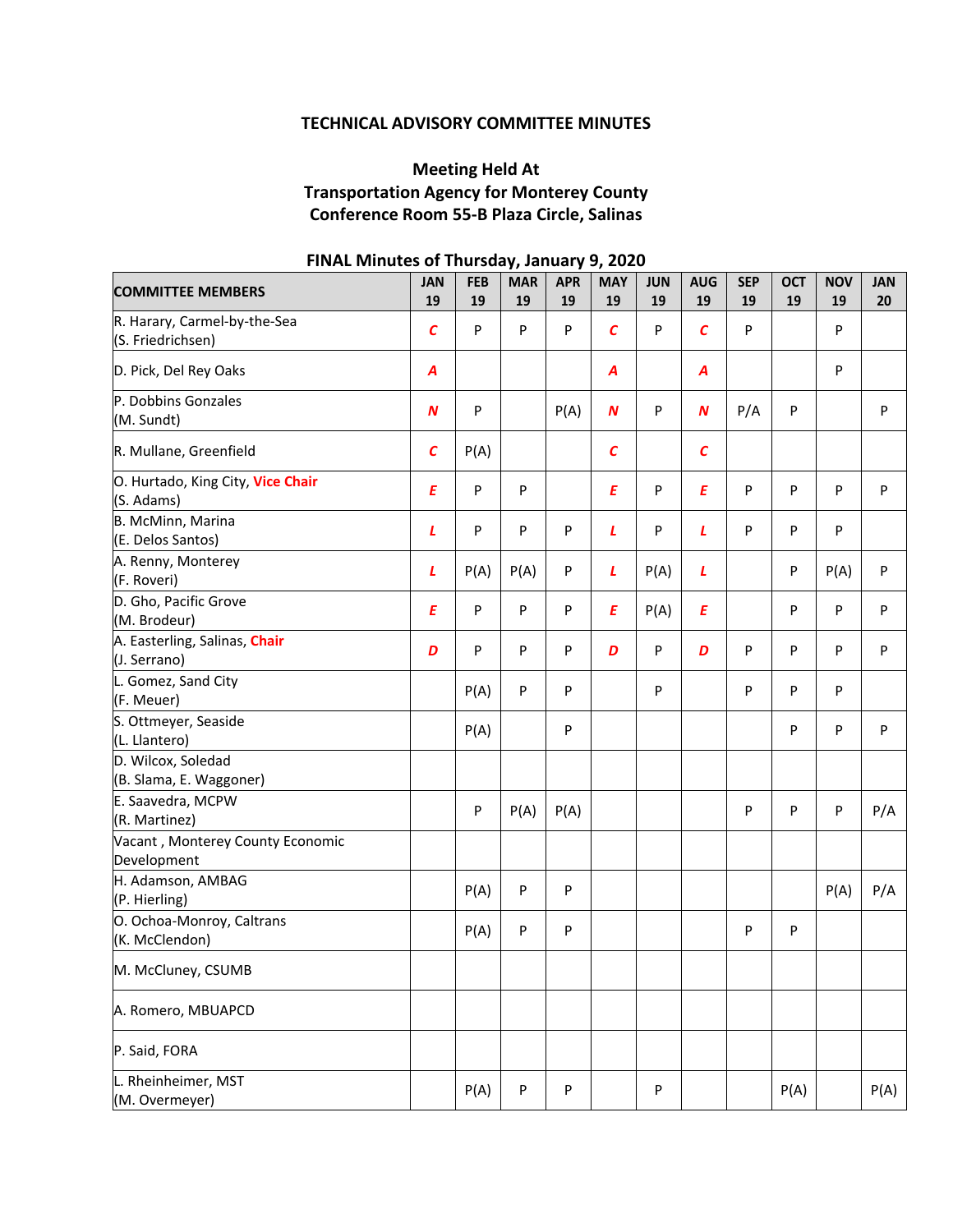# **TECHNICAL ADVISORY COMMITTEE MINUTES**

# **Meeting Held At Transportation Agency for Monterey County Conference Room 55‐B Plaza Circle, Salinas**

| <b>COMMITTEE MEMBERS</b>                          | <b>JAN</b><br>19 | <b>FEB</b><br>19 | <b>MAR</b><br>19 | <b>APR</b><br>19 | <b>MAY</b><br>19  | <b>JUN</b><br>19 | <b>AUG</b><br>19 | <b>SEP</b><br>19 | <b>OCT</b><br>19 | <b>NOV</b><br>19 | <b>JAN</b><br>20 |
|---------------------------------------------------|------------------|------------------|------------------|------------------|-------------------|------------------|------------------|------------------|------------------|------------------|------------------|
| R. Harary, Carmel-by-the-Sea<br>(S. Friedrichsen) | $\epsilon$       | P                | P                | P                | $\mathcal{C}$     | P                | $\epsilon$       | P                |                  | ${\sf P}$        |                  |
| D. Pick, Del Rey Oaks                             | A                |                  |                  |                  | A                 |                  | A                |                  |                  | ${\sf P}$        |                  |
| P. Dobbins Gonzales<br>(M. Sundt)                 | $\boldsymbol{N}$ | P                |                  | P(A)             | $\boldsymbol{N}$  | P                | $\boldsymbol{N}$ | P/A              | P                |                  | ${\sf P}$        |
| R. Mullane, Greenfield                            | $\mathcal{C}$    | P(A)             |                  |                  | $\mathcal{C}_{0}$ |                  | $\epsilon$       |                  |                  |                  |                  |
| O. Hurtado, King City, Vice Chair<br>(S. Adams)   | $\pmb{E}$        | ${\sf P}$        | P                |                  | E                 | P                | E                | P                | P                | P                | ${\sf P}$        |
| B. McMinn, Marina<br>(E. Delos Santos)            | $\mathbf{L}$     | P                | P                | P                | L                 | P                | L                | P                | P                | ${\sf P}$        |                  |
| A. Renny, Monterey<br>(F. Roveri)                 | $\mathbf{L}$     | P(A)             | P(A)             | P                | L                 | P(A)             | L                |                  | P                | P(A)             | ${\sf P}$        |
| D. Gho, Pacific Grove<br>(M. Brodeur)             | $\pmb{E}$        | ${\sf P}$        | P                | P                | Ε                 | P(A)             | Ε                |                  | P                | ${\sf P}$        | P                |
| A. Easterling, Salinas, Chair<br>(J. Serrano)     | D                | P                | P                | P                | D                 | P                | D                | P                | P                | P                | P                |
| L. Gomez, Sand City<br>(F. Meuer)                 |                  | P(A)             | P                | P                |                   | P                |                  | P                | P                | P                |                  |
| S. Ottmeyer, Seaside<br>(L. Llantero)             |                  | P(A)             |                  | P                |                   |                  |                  |                  | P                | P                | P                |
| D. Wilcox, Soledad<br>(B. Slama, E. Waggoner)     |                  |                  |                  |                  |                   |                  |                  |                  |                  |                  |                  |
| E. Saavedra, MCPW<br>(R. Martinez)                |                  | P                | P(A)             | P(A)             |                   |                  |                  | P                | P                | ${\sf P}$        | P/A              |
| Vacant, Monterey County Economic<br>Development   |                  |                  |                  |                  |                   |                  |                  |                  |                  |                  |                  |
| H. Adamson, AMBAG<br>(P. Hierling)                |                  | P(A)             | P                | P                |                   |                  |                  |                  |                  | P(A)             | P/A              |
| O. Ochoa-Monroy, Caltrans<br>(K. McClendon)       |                  | P(A)             | P                | P                |                   |                  |                  | P                | P                |                  |                  |
| M. McCluney, CSUMB                                |                  |                  |                  |                  |                   |                  |                  |                  |                  |                  |                  |
| A. Romero, MBUAPCD                                |                  |                  |                  |                  |                   |                  |                  |                  |                  |                  |                  |
| P. Said, FORA                                     |                  |                  |                  |                  |                   |                  |                  |                  |                  |                  |                  |
| L. Rheinheimer, MST<br>(M. Overmeyer)             |                  | P(A)             | P                | P                |                   | P                |                  |                  | P(A)             |                  | P(A)             |

# **FINAL Minutes of Thursday, January 9, 2020**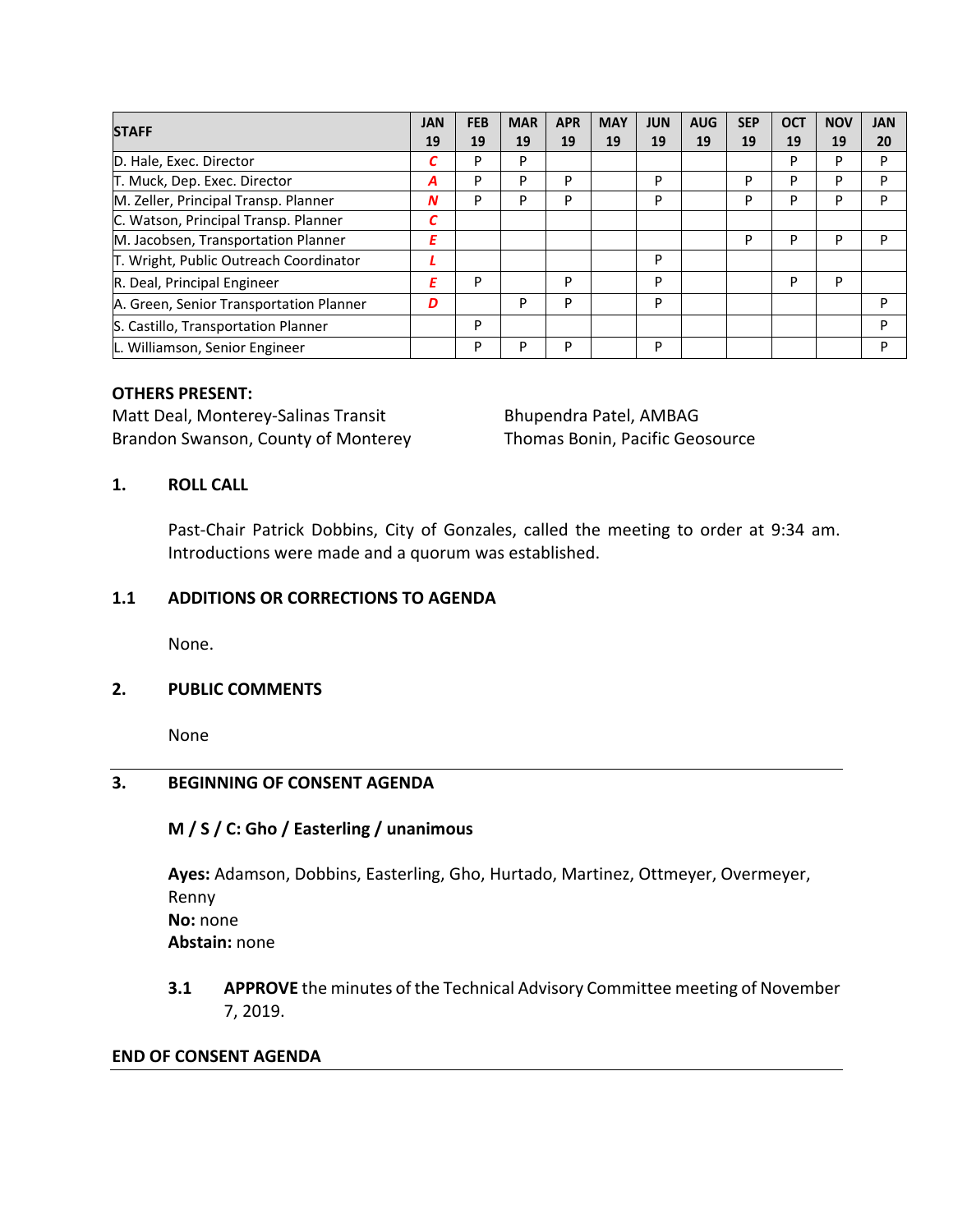| <b>STAFF</b>                            | <b>JAN</b> | <b>FEB</b> | <b>MAR</b> | <b>APR</b> | <b>MAY</b> | <b>JUN</b> | <b>AUG</b> | <b>SEP</b> | <b>OCT</b> | <b>NOV</b> | <b>JAN</b> |
|-----------------------------------------|------------|------------|------------|------------|------------|------------|------------|------------|------------|------------|------------|
|                                         | 19         | 19         | 19         | 19         | 19         | 19         | 19         | 19         | 19         | 19         | 20         |
| D. Hale, Exec. Director                 | С          | P          | P          |            |            |            |            |            | P          | P          | P          |
| T. Muck, Dep. Exec. Director            | А          | P          | P          | P          |            | P          |            | P          | P          | P          | P          |
| M. Zeller, Principal Transp. Planner    | N          | P          | P          | P          |            | P          |            | P          | P          | P          | P          |
| C. Watson, Principal Transp. Planner    | С          |            |            |            |            |            |            |            |            |            |            |
| M. Jacobsen, Transportation Planner     | Ε          |            |            |            |            |            |            | P          | P          | P          | P          |
| T. Wright, Public Outreach Coordinator  |            |            |            |            |            | P          |            |            |            |            |            |
| R. Deal, Principal Engineer             | Ε          | P          |            | P          |            | P          |            |            | P          | P          |            |
| A. Green, Senior Transportation Planner | D          |            | P          | P          |            | P          |            |            |            |            | P          |
| S. Castillo, Transportation Planner     |            | P          |            |            |            |            |            |            |            |            | D          |
| L. Williamson, Senior Engineer          |            | P          | P          | P          |            | P          |            |            |            |            | P          |

# **OTHERS PRESENT:**

Matt Deal, Monterey-Salinas Transit Bhupendra Patel, AMBAG Brandon Swanson, County of Monterey Thomas Bonin, Pacific Geosource

# **1. ROLL CALL**

Past-Chair Patrick Dobbins, City of Gonzales, called the meeting to order at 9:34 am. Introductions were made and a quorum was established.

## **1.1 ADDITIONS OR CORRECTIONS TO AGENDA**

None.

## **2. PUBLIC COMMENTS**

None

## **3. BEGINNING OF CONSENT AGENDA**

## **M / S / C: Gho / Easterling / unanimous**

**Ayes:** Adamson, Dobbins, Easterling, Gho, Hurtado, Martinez, Ottmeyer, Overmeyer, Renny **No:** none **Abstain:** none

**3.1 APPROVE** the minutes of the Technical Advisory Committee meeting of November 7, 2019.

#### **END OF CONSENT AGENDA**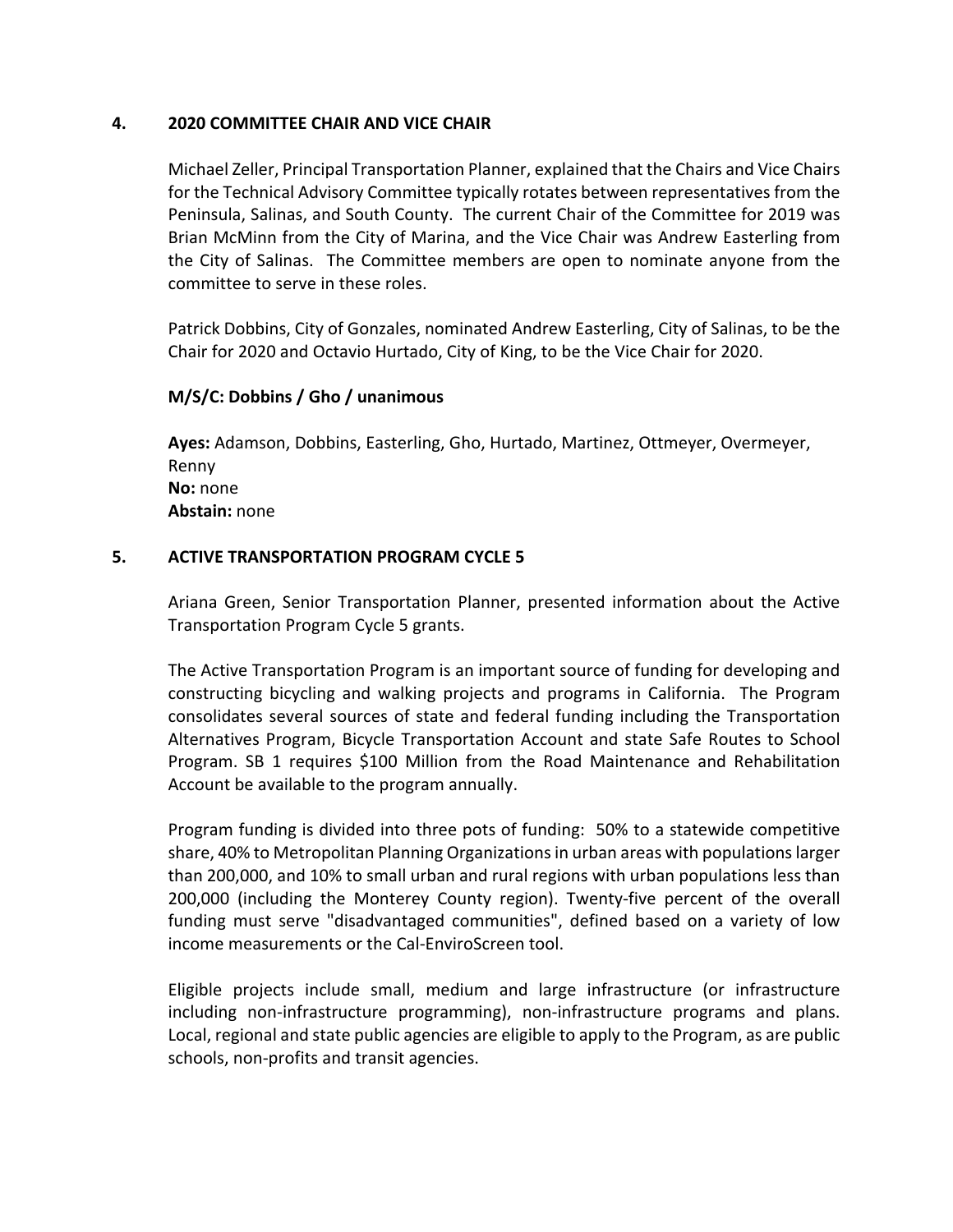## **4. 2020 COMMITTEE CHAIR AND VICE CHAIR**

Michael Zeller, Principal Transportation Planner, explained that the Chairs and Vice Chairs for the Technical Advisory Committee typically rotates between representatives from the Peninsula, Salinas, and South County. The current Chair of the Committee for 2019 was Brian McMinn from the City of Marina, and the Vice Chair was Andrew Easterling from the City of Salinas. The Committee members are open to nominate anyone from the committee to serve in these roles.

Patrick Dobbins, City of Gonzales, nominated Andrew Easterling, City of Salinas, to be the Chair for 2020 and Octavio Hurtado, City of King, to be the Vice Chair for 2020.

# **M/S/C: Dobbins / Gho / unanimous**

**Ayes:** Adamson, Dobbins, Easterling, Gho, Hurtado, Martinez, Ottmeyer, Overmeyer, Renny **No:** none **Abstain:** none

# **5. ACTIVE TRANSPORTATION PROGRAM CYCLE 5**

Ariana Green, Senior Transportation Planner, presented information about the Active Transportation Program Cycle 5 grants.

The Active Transportation Program is an important source of funding for developing and constructing bicycling and walking projects and programs in California. The Program consolidates several sources of state and federal funding including the Transportation Alternatives Program, Bicycle Transportation Account and state Safe Routes to School Program. SB 1 requires \$100 Million from the Road Maintenance and Rehabilitation Account be available to the program annually.

Program funding is divided into three pots of funding: 50% to a statewide competitive share, 40% to Metropolitan Planning Organizations in urban areas with populations larger than 200,000, and 10% to small urban and rural regions with urban populations less than 200,000 (including the Monterey County region). Twenty‐five percent of the overall funding must serve "disadvantaged communities", defined based on a variety of low income measurements or the Cal‐EnviroScreen tool.

Eligible projects include small, medium and large infrastructure (or infrastructure including non‐infrastructure programming), non‐infrastructure programs and plans. Local, regional and state public agencies are eligible to apply to the Program, as are public schools, non‐profits and transit agencies.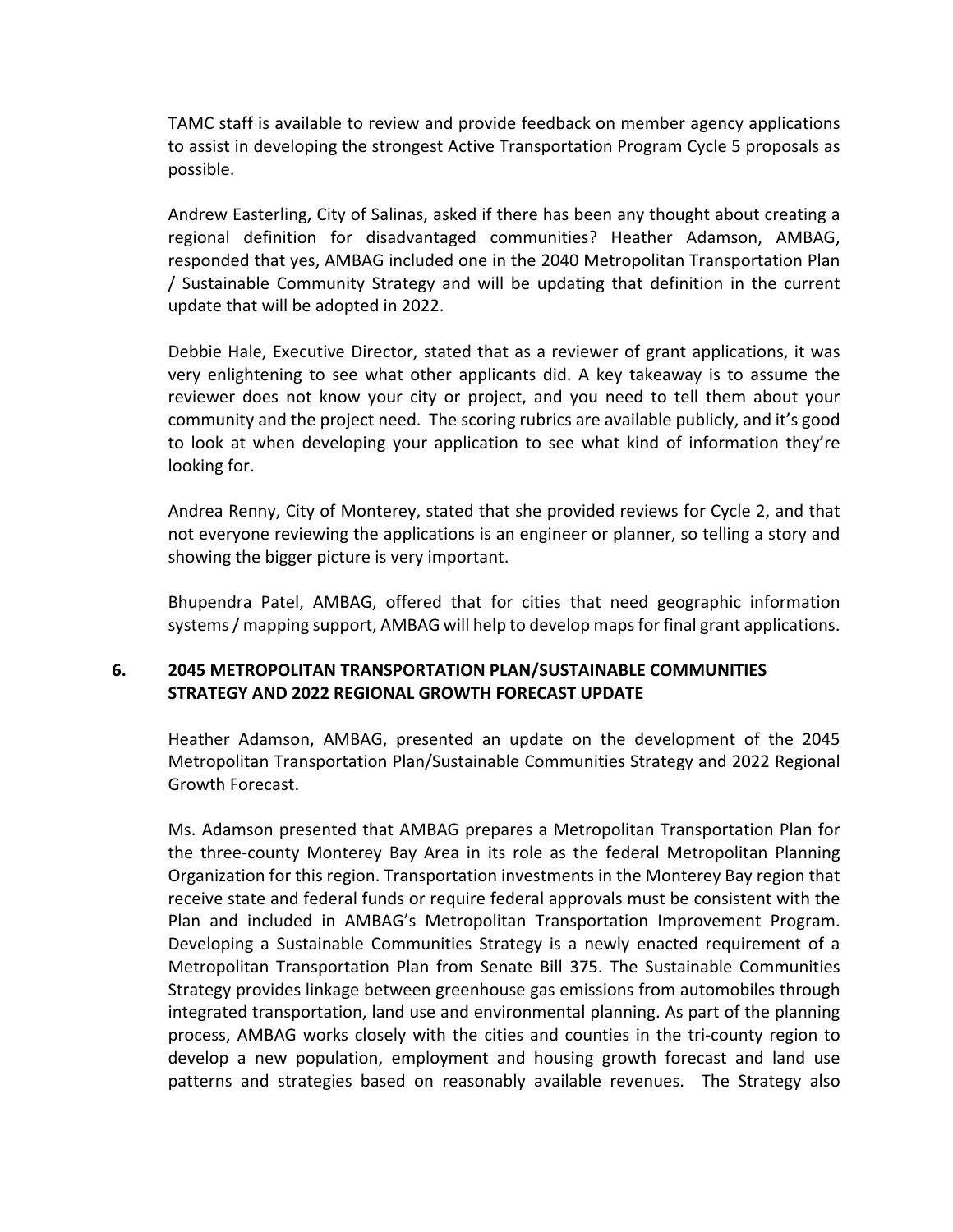TAMC staff is available to review and provide feedback on member agency applications to assist in developing the strongest Active Transportation Program Cycle 5 proposals as possible.

Andrew Easterling, City of Salinas, asked if there has been any thought about creating a regional definition for disadvantaged communities? Heather Adamson, AMBAG, responded that yes, AMBAG included one in the 2040 Metropolitan Transportation Plan / Sustainable Community Strategy and will be updating that definition in the current update that will be adopted in 2022.

Debbie Hale, Executive Director, stated that as a reviewer of grant applications, it was very enlightening to see what other applicants did. A key takeaway is to assume the reviewer does not know your city or project, and you need to tell them about your community and the project need. The scoring rubrics are available publicly, and it's good to look at when developing your application to see what kind of information they're looking for.

Andrea Renny, City of Monterey, stated that she provided reviews for Cycle 2, and that not everyone reviewing the applications is an engineer or planner, so telling a story and showing the bigger picture is very important.

Bhupendra Patel, AMBAG, offered that for cities that need geographic information systems/ mapping support, AMBAG will help to develop mapsfor final grant applications.

# **6. 2045 METROPOLITAN TRANSPORTATION PLAN/SUSTAINABLE COMMUNITIES STRATEGY AND 2022 REGIONAL GROWTH FORECAST UPDATE**

Heather Adamson, AMBAG, presented an update on the development of the 2045 Metropolitan Transportation Plan/Sustainable Communities Strategy and 2022 Regional Growth Forecast.

Ms. Adamson presented that AMBAG prepares a Metropolitan Transportation Plan for the three‐county Monterey Bay Area in its role as the federal Metropolitan Planning Organization for this region. Transportation investments in the Monterey Bay region that receive state and federal funds or require federal approvals must be consistent with the Plan and included in AMBAG's Metropolitan Transportation Improvement Program. Developing a Sustainable Communities Strategy is a newly enacted requirement of a Metropolitan Transportation Plan from Senate Bill 375. The Sustainable Communities Strategy provides linkage between greenhouse gas emissions from automobiles through integrated transportation, land use and environmental planning. As part of the planning process, AMBAG works closely with the cities and counties in the tri‐county region to develop a new population, employment and housing growth forecast and land use patterns and strategies based on reasonably available revenues. The Strategy also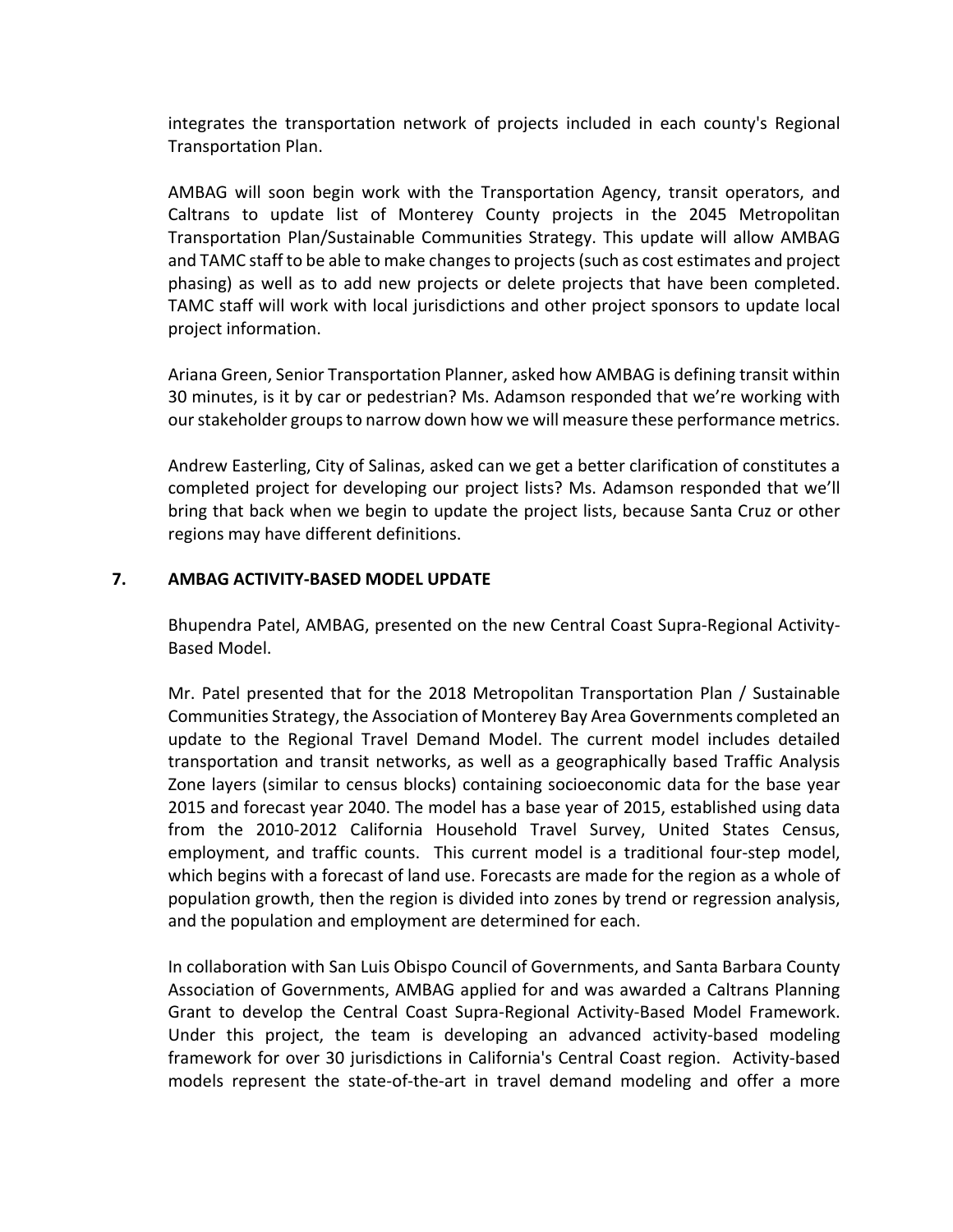integrates the transportation network of projects included in each county's Regional Transportation Plan.

AMBAG will soon begin work with the Transportation Agency, transit operators, and Caltrans to update list of Monterey County projects in the 2045 Metropolitan Transportation Plan/Sustainable Communities Strategy. This update will allow AMBAG and TAMC staff to be able to make changesto projects(such as cost estimates and project phasing) as well as to add new projects or delete projects that have been completed. TAMC staff will work with local jurisdictions and other project sponsors to update local project information.

Ariana Green, Senior Transportation Planner, asked how AMBAG is defining transit within 30 minutes, is it by car or pedestrian? Ms. Adamson responded that we're working with our stakeholder groups to narrow down how we will measure these performance metrics.

Andrew Easterling, City of Salinas, asked can we get a better clarification of constitutes a completed project for developing our project lists? Ms. Adamson responded that we'll bring that back when we begin to update the project lists, because Santa Cruz or other regions may have different definitions.

## **7. AMBAG ACTIVITY‐BASED MODEL UPDATE**

Bhupendra Patel, AMBAG, presented on the new Central Coast Supra‐Regional Activity‐ Based Model.

Mr. Patel presented that for the 2018 Metropolitan Transportation Plan / Sustainable Communities Strategy, the Association of Monterey Bay Area Governments completed an update to the Regional Travel Demand Model. The current model includes detailed transportation and transit networks, as well as a geographically based Traffic Analysis Zone layers (similar to census blocks) containing socioeconomic data for the base year 2015 and forecast year 2040. The model has a base year of 2015, established using data from the 2010‐2012 California Household Travel Survey, United States Census, employment, and traffic counts. This current model is a traditional four-step model, which begins with a forecast of land use. Forecasts are made for the region as a whole of population growth, then the region is divided into zones by trend or regression analysis, and the population and employment are determined for each.

In collaboration with San Luis Obispo Council of Governments, and Santa Barbara County Association of Governments, AMBAG applied for and was awarded a Caltrans Planning Grant to develop the Central Coast Supra‐Regional Activity‐Based Model Framework. Under this project, the team is developing an advanced activity‐based modeling framework for over 30 jurisdictions in California's Central Coast region. Activity‐based models represent the state‐of‐the‐art in travel demand modeling and offer a more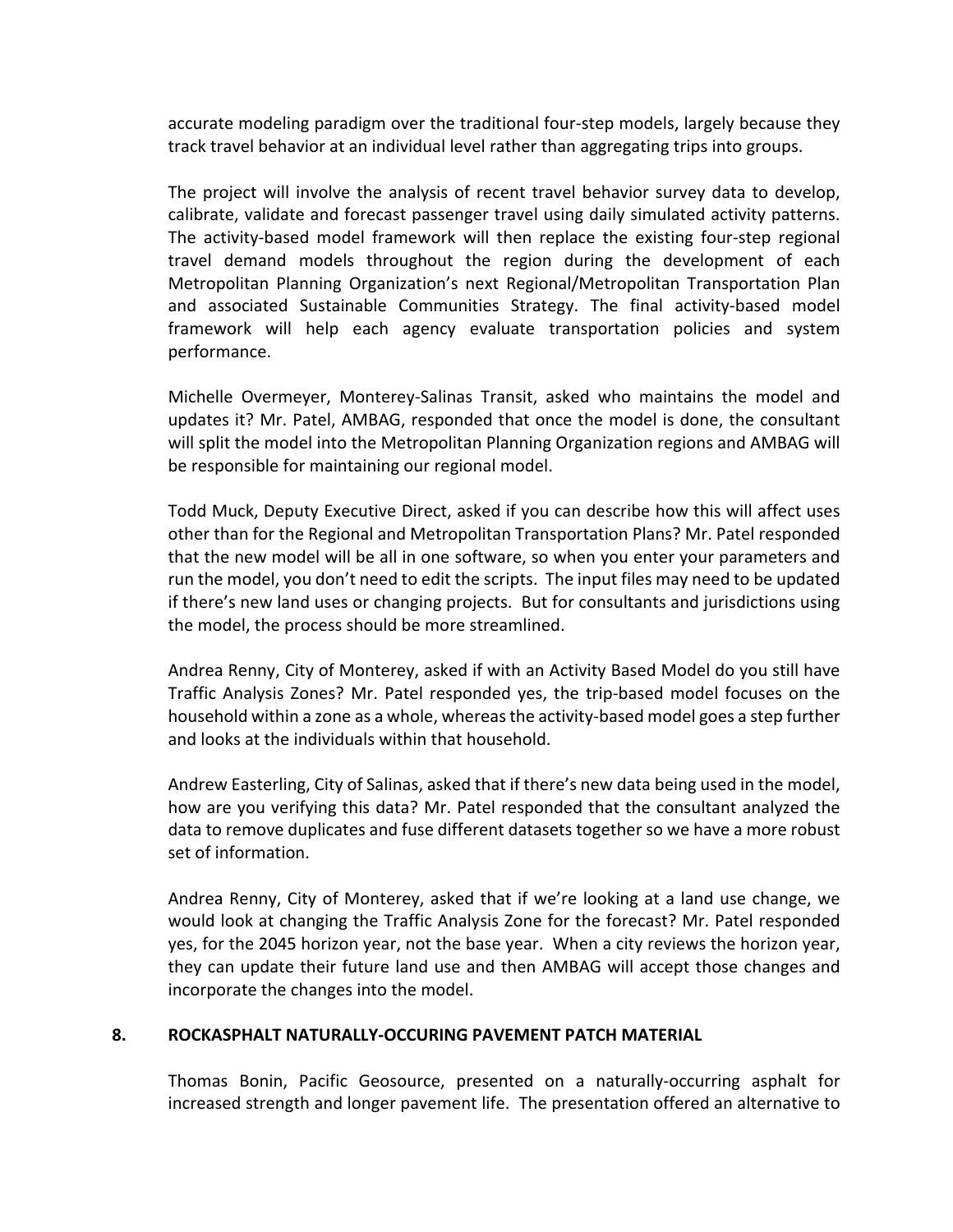accurate modeling paradigm over the traditional four‐step models, largely because they track travel behavior at an individual level rather than aggregating trips into groups.

The project will involve the analysis of recent travel behavior survey data to develop, calibrate, validate and forecast passenger travel using daily simulated activity patterns. The activity‐based model framework will then replace the existing four‐step regional travel demand models throughout the region during the development of each Metropolitan Planning Organization's next Regional/Metropolitan Transportation Plan and associated Sustainable Communities Strategy. The final activity-based model framework will help each agency evaluate transportation policies and system performance.

Michelle Overmeyer, Monterey‐Salinas Transit, asked who maintains the model and updates it? Mr. Patel, AMBAG, responded that once the model is done, the consultant will split the model into the Metropolitan Planning Organization regions and AMBAG will be responsible for maintaining our regional model.

Todd Muck, Deputy Executive Direct, asked if you can describe how this will affect uses other than for the Regional and Metropolitan Transportation Plans? Mr. Patel responded that the new model will be all in one software, so when you enter your parameters and run the model, you don't need to edit the scripts. The input files may need to be updated if there's new land uses or changing projects. But for consultants and jurisdictions using the model, the process should be more streamlined.

Andrea Renny, City of Monterey, asked if with an Activity Based Model do you still have Traffic Analysis Zones? Mr. Patel responded yes, the trip‐based model focuses on the household within a zone as a whole, whereas the activity-based model goes a step further and looks at the individuals within that household.

Andrew Easterling, City of Salinas, asked that if there's new data being used in the model, how are you verifying this data? Mr. Patel responded that the consultant analyzed the data to remove duplicates and fuse different datasets together so we have a more robust set of information.

Andrea Renny, City of Monterey, asked that if we're looking at a land use change, we would look at changing the Traffic Analysis Zone for the forecast? Mr. Patel responded yes, for the 2045 horizon year, not the base year. When a city reviews the horizon year, they can update their future land use and then AMBAG will accept those changes and incorporate the changes into the model.

## **8. ROCKASPHALT NATURALLY‐OCCURING PAVEMENT PATCH MATERIAL**

Thomas Bonin, Pacific Geosource, presented on a naturally‐occurring asphalt for increased strength and longer pavement life. The presentation offered an alternative to